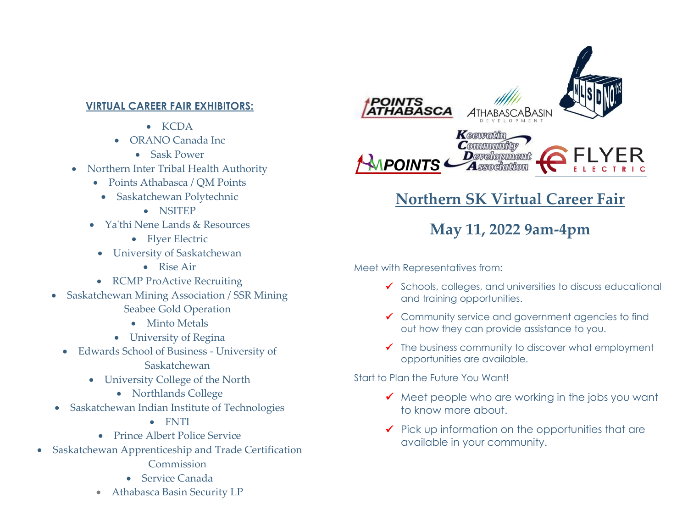## **VIRTUAL CAREER FAIR EXHIBITORS:**

- KCDA
- ORANO Canada Inc
	- Sask Power
- Northern Inter Tribal Health Authority
	- Points Athabasca / OM Points
		- Saskatchewan Polytechnic
			- NSITEP
	- Ya'thi Nene Lands & Resources
		- Flyer Electric
	- University of Saskatchewan
		- Rise Air
	- RCMP ProActive Recruiting
- Saskatchewan Mining Association / SSR Mining Seabee Gold Operation
	- Minto Metals
	- University of Regina
	- Edwards School of Business University of Saskatchewan
		- University College of the North
			- Northlands College
- Saskatchewan Indian Institute of Technologies
	- FNTI
	- Prince Albert Police Service
- Saskatchewan Apprenticeship and Trade Certification
	- Commission
	- Service Canada
	- Athabasca Basin Security LP



## **Northern SK Virtual Career Fair**

## **May 11, 2022 9am-4pm**

Meet with Representatives from:

- ✓ Schools, colleges, and universities to discuss educational and training opportunities.
- ✓ Community service and government agencies to find out how they can provide assistance to you.
- $\checkmark$  The business community to discover what employment opportunities are available.

Start to Plan the Future You Want!

- $\checkmark$  Meet people who are working in the jobs you want to know more about.
- $\checkmark$  Pick up information on the opportunities that are available in your community.